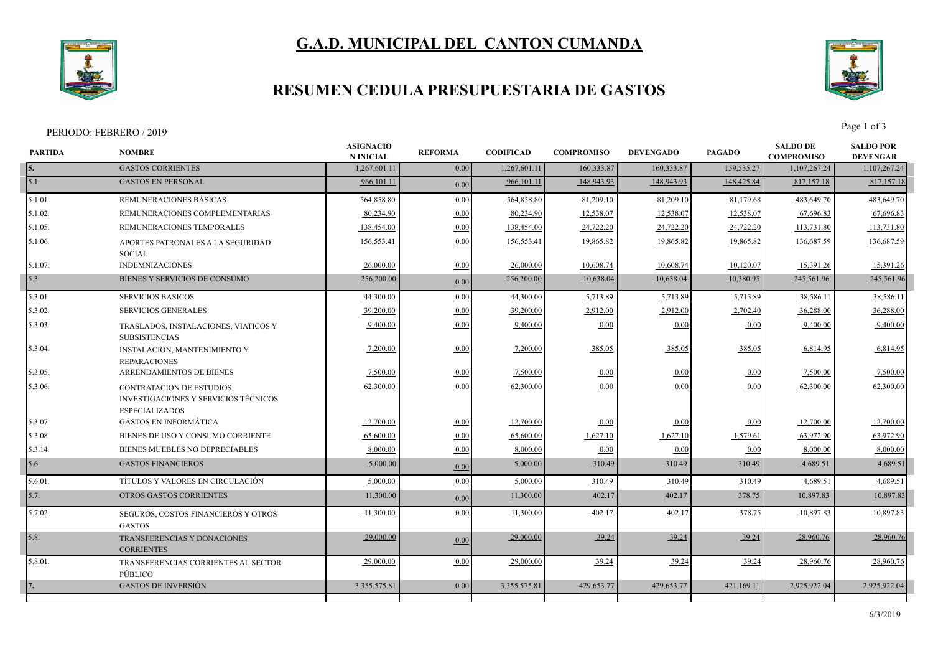# **G.A.D. MUNICIPAL DEL CANTON CUMANDA**



## **RESUMEN CEDULA PRESUPUESTARIA DE GASTOS**



PERIODO: FEBRERO / 2019 Page 1 of 3

| <b>PARTIDA</b> | <b>NOMBRE</b>                                                                              | <b>ASIGNACIO</b><br><b>N INICIAL</b> | <b>REFORMA</b> | <b>CODIFICAD</b> | <b>COMPROMISO</b> | <b>DEVENGADO</b> | <b>PAGADO</b> | <b>SALDO DE</b><br><b>COMPROMISO</b> | <b>SALDO POR</b><br><b>DEVENGAR</b> |
|----------------|--------------------------------------------------------------------------------------------|--------------------------------------|----------------|------------------|-------------------|------------------|---------------|--------------------------------------|-------------------------------------|
| 5.             | <b>GASTOS CORRIENTES</b>                                                                   | 1,267,601.1                          | 0.00           | 1,267,601.11     | 160,333.87        | 160,333.87       | 159,535.27    | 1,107,267.24                         | 1,107,267.24                        |
| 5.1.           | <b>GASTOS EN PERSONAL</b>                                                                  | 966,101.11                           | 0.00           | 966,101.11       | 148,943.93        | 148,943.93       | 148,425.84    | 817, 157. 18                         | 817,157.18                          |
| 5.1.01.        | REMUNERACIONES BÁSICAS                                                                     | 564,858.80                           | 0.00           | 564,858.80       | 81,209.10         | 81,209.10        | 81,179.68     | 483,649.70                           | 483,649.70                          |
| 5.1.02.        | REMUNERACIONES COMPLEMENTARIAS                                                             | 80.234.90                            | 0.00           | 80,234.90        | 12,538.07         | 12,538.07        | 12,538.07     | 67,696.83                            | 67,696.83                           |
| 5.1.05.        | REMUNERACIONES TEMPORALES                                                                  | 138,454.00                           | 0.00           | 138,454.00       | 24,722.20         | 24,722.20        | 24,722.20     | 113,731.80                           | 113,731.80                          |
| 5.1.06.        | APORTES PATRONALES A LA SEGURIDAD<br><b>SOCIAL</b>                                         | 156,553.4                            | 0.00           | 156,553.41       | 19,865.82         | 19,865.82        | 19,865.82     | 136,687.59                           | 136,687.59                          |
| 5.1.07.        | <b>INDEMNIZACIONES</b>                                                                     | 26,000.00                            | 0.00           | 26,000.00        | 10,608.74         | 10,608.74        | 10,120.07     | 15,391.26                            | 15,391.26                           |
| 5.3.           | BIENES Y SERVICIOS DE CONSUMO                                                              | 256,200.00                           | 0.00           | 256,200.00       | 10,638.04         | 10,638.04        | 10,380.95     | 245,561.96                           | 245,561.96                          |
| 5.3.01.        | <b>SERVICIOS BASICOS</b>                                                                   | 44,300.00                            | 0.00           | 44,300.00        | 5,713.89          | 5,713.89         | 5,713.89      | 38,586.11                            | 38,586.11                           |
| 5.3.02.        | <b>SERVICIOS GENERALES</b>                                                                 | 39,200.00                            | 0.00           | 39,200.00        | 2,912.00          | 2,912.00         | 2,702.40      | 36,288.00                            | 36,288.00                           |
| 5.3.03.        | TRASLADOS, INSTALACIONES, VIATICOS Y<br><b>SUBSISTENCIAS</b>                               | 9,400.00                             | 0.00           | 9,400.00         | 0.00              | 0.00             | 0.00          | 9,400.00                             | 9,400.00                            |
| 5.3.04.        | <b>INSTALACION, MANTENIMIENTO Y</b><br><b>REPARACIONES</b>                                 | 7,200.00                             | 0.00           | 7,200.00         | 385.05            | 385.05           | 385.05        | 6,814.95                             | 6,814.95                            |
| 5.3.05.        | ARRENDAMIENTOS DE BIENES                                                                   | 7,500.00                             | 0.00           | 7,500.00         | 0.00              | 0.00             | 0.00          | 7,500.00                             | 7,500.00                            |
| 5.3.06.        | CONTRATACION DE ESTUDIOS,<br>INVESTIGACIONES Y SERVICIOS TÉCNICOS<br><b>ESPECIALIZADOS</b> | 62,300.00                            | 0.00           | 62,300.00        | 0.00              | 0.00             | 0.00          | 62,300.00                            | 62,300.00                           |
| 5.3.07.        | <b>GASTOS EN INFORMÁTICA</b>                                                               | 12,700.00                            | 0.00           | 12,700.00        | 0.00              | 0.00             | 0.00          | 12,700.00                            | 12,700.00                           |
| 5.3.08.        | BIENES DE USO Y CONSUMO CORRIENTE                                                          | 65,600.00                            | 0.00           | 65,600.00        | 1,627.10          | 1,627.10         | 1,579.61      | 63,972.90                            | 63,972.90                           |
| 5.3.14.        | BIENES MUEBLES NO DEPRECIABLES                                                             | 8,000.00                             | 0.00           | 8,000.00         | 0.00              | 0.00             | 0.00          | 8,000.00                             | 8,000.00                            |
| 5.6.           | <b>GASTOS FINANCIEROS</b>                                                                  | 5,000.00                             | 0.00           | 5,000.00         | 310.49            | 310.49           | 310.49        | 4,689.51                             | 4,689.51                            |
| 5.6.01.        | TÍTULOS Y VALORES EN CIRCULACIÓN                                                           | 5,000.00                             | 0.00           | 5,000.00         | 310.49            | 310.49           | 310.49        | 4,689.51                             | 4,689.51                            |
| 5.7.           | <b>OTROS GASTOS CORRIENTES</b>                                                             | 11,300.00                            | 0.00           | 11,300.00        | 402.17            | 402.17           | 378.75        | 10,897.83                            | 10,897.83                           |
| 5.7.02.        | SEGUROS, COSTOS FINANCIEROS Y OTROS<br><b>GASTOS</b>                                       | 11,300.00                            | 0.00           | 11,300.00        | 402.17            | 402.17           | 378.75        | 10,897.83                            | 10,897.83                           |
| 5.8.           | <b>TRANSFERENCIAS Y DONACIONES</b><br><b>CORRIENTES</b>                                    | 29,000.00                            | 0.00           | 29,000.00        | 39.24             | 39.24            | 39.24         | 28,960.76                            | 28,960.76                           |
| 5.8.01.        | TRANSFERENCIAS CORRIENTES AL SECTOR<br>PÚBLICO                                             | 29,000.00                            | 0.00           | 29,000.00        | 39.24             | 39.24            | 39.24         | 28,960.76                            | 28,960.76                           |
| 7.             | <b>GASTOS DE INVERSIÓN</b>                                                                 | 3,355,575.8                          | 0.00           | 3,355,575.81     | 429,653.77        | 429,653.77       | 421,169.11    | 2,925,922.04                         | 2,925,922.04                        |
|                |                                                                                            |                                      |                |                  |                   |                  |               |                                      |                                     |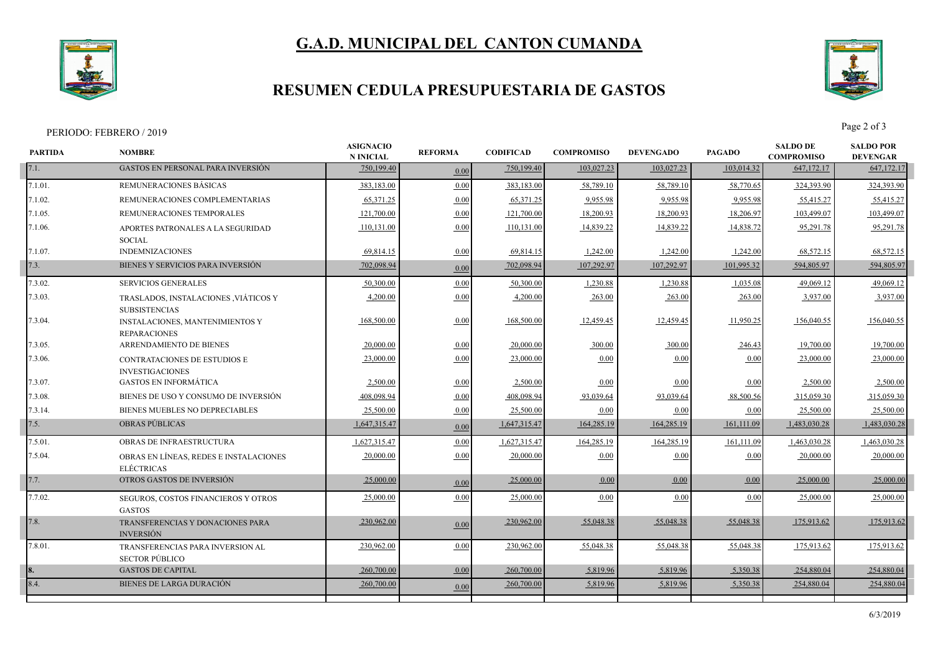# **G.A.D. MUNICIPAL DEL CANTON CUMANDA**



## **RESUMEN CEDULA PRESUPUESTARIA DE GASTOS**



PERIODO: FEBRERO / 2019 Page 2 of 3

| <b>PARTIDA</b> | <b>NOMBRE</b>                                                 | <b>ASIGNACIO</b><br><b>N INICIAL</b> | <b>REFORMA</b> | <b>CODIFICAD</b> | <b>COMPROMISO</b> | <b>DEVENGADO</b> | <b>PAGADO</b> | <b>SALDO DE</b><br><b>COMPROMISO</b> | <b>SALDO POR</b><br><b>DEVENGAR</b> |  |
|----------------|---------------------------------------------------------------|--------------------------------------|----------------|------------------|-------------------|------------------|---------------|--------------------------------------|-------------------------------------|--|
| 7.1.           | <b>GASTOS EN PERSONAL PARA INVERSIÓN</b>                      | 750,199.40                           | 0.00           | 750,199.40       | 103,027.23        | 103,027.23       | 103,014.32    | 647,172.17                           | 647,172.17                          |  |
| 7.1.01.        | REMUNERACIONES BÁSICAS                                        | 383,183.00                           | 0.00           | 383,183.00       | 58,789.10         | 58,789.10        | 58,770.65     | 324,393.90                           | 324,393.90                          |  |
| 7.1.02.        | REMUNERACIONES COMPLEMENTARIAS                                | 65,371.25                            | 0.00           | 65,371.25        | 9,955.98          | 9,955.98         | 9,955.98      | 55,415.27                            | 55,415.27                           |  |
| 7.1.05.        | REMUNERACIONES TEMPORALES                                     | 121,700.00                           | 0.00           | 121,700.00       | 18,200.93         | 18,200.93        | 18,206.97     | 103,499.07                           | 103,499.07                          |  |
| 7.1.06.        | APORTES PATRONALES A LA SEGURIDAD                             | 110,131.00                           | 0.00           | 110,131.00       | 14,839.22         | 14,839.22        | 14,838.72     | 95,291.78                            | 95,291.78                           |  |
|                | <b>SOCIAL</b>                                                 |                                      |                |                  |                   |                  |               |                                      |                                     |  |
| 7.1.07.        | <b>INDEMNIZACIONES</b>                                        | 69,814.15                            | 0.00           | 69,814.15        | 1,242.00          | 1,242.00         | 1,242.00      | 68,572.15                            | 68,572.15                           |  |
| 7.3.           | BIENES Y SERVICIOS PARA INVERSIÓN                             | 702,098.94                           | 0.00           | 702,098.94       | 107,292.97        | 107,292.97       | 101,995.32    | 594,805.97                           | 594,805.97                          |  |
| 7.3.02.        | <b>SERVICIOS GENERALES</b>                                    | 50,300.00                            | 0.00           | 50,300.00        | 1,230.88          | 1,230.88         | 1,035.08      | 49.069.12                            | 49,069.12                           |  |
| 7.3.03.        | TRASLADOS, INSTALACIONES , VIÁTICOS Y<br><b>SUBSISTENCIAS</b> | 4,200.00                             | 0.00           | 4,200.00         | 263.00            | 263.00           | 263.00        | 3,937.00                             | 3,937.00                            |  |
| 7.3.04.        | <b>INSTALACIONES, MANTENIMIENTOS Y</b><br><b>REPARACIONES</b> | 168,500.00                           | 0.00           | 168,500.00       | 12,459.45         | 12,459.45        | 11,950.25     | 156,040.55                           | 156,040.55                          |  |
| 7.3.05.        | ARRENDAMIENTO DE BIENES                                       | 20,000.00                            | 0.00           | 20,000.00        | 300.00            | 300.00           | 246.43        | 19,700.00                            | 19,700.00                           |  |
| 7.3.06.        | <b>CONTRATACIONES DE ESTUDIOS E</b><br><b>INVESTIGACIONES</b> | 23,000.00                            | 0.00           | 23,000.00        | 0.00              | 0.00             | 0.00          | 23,000.00                            | 23,000.00                           |  |
| 7.3.07.        | <b>GASTOS EN INFORMÁTICA</b>                                  | 2.500.00                             | 0.00           | 2,500.00         | 0.00              | $0.00\,$         | 0.00          | 2,500.00                             | 2,500.00                            |  |
| 7.3.08.        | BIENES DE USO Y CONSUMO DE INVERSIÓN                          | 408.098.94                           | 0.00           | 408,098.94       | 93,039.64         | 93,039.64        | 88,500.56     | 315,059.30                           | 315,059.30                          |  |
| 7.3.14.        | BIENES MUEBLES NO DEPRECIABLES                                | 25,500.00                            | 0.00           | 25,500.00        | 0.00              | 0.00             | 0.00          | 25,500.00                            | 25,500.00                           |  |
| 7.5.           | OBRAS PÚBLICAS                                                | 1,647,315.47                         | 0.00           | 1,647,315.47     | 164,285.19        | 164,285.19       | 161,111.09    | 1,483,030.28                         | 1,483,030.28                        |  |
| 7.5.01.        | <b>OBRAS DE INFRAESTRUCTURA</b>                               | 1,627,315.47                         | 0.00           | 1,627,315.47     | 164,285.19        | 164,285.19       | 161,111.09    | 1,463,030.28                         | 1,463,030.28                        |  |
| 7.5.04.        | OBRAS EN LÍNEAS. REDES E INSTALACIONES<br><b>ELÉCTRICAS</b>   | 20,000.00                            | 0.00           | 20,000.00        | 0.00              | 0.00             | 0.00          | 20,000.00                            | 20,000.00                           |  |
| 7.7.           | OTROS GASTOS DE INVERSIÓN                                     | 25,000.00                            | 0.00           | 25,000.00        | 0.00              | 0.00             | 0.00          | 25,000.00                            | 25,000.00                           |  |
| 7.7.02.        | SEGUROS, COSTOS FINANCIEROS Y OTROS<br><b>GASTOS</b>          | 25,000.00                            | 0.00           | 25,000.00        | 0.00              | $0.00\,$         | 0.00          | 25,000.00                            | 25,000.00                           |  |
| 7.8.           | TRANSFERENCIAS Y DONACIONES PARA<br><b>INVERSIÓN</b>          | 230,962.00                           | 0.00           | 230,962.00       | 55,048.38         | 55,048.38        | 55,048.38     | 175,913.62                           | 175,913.62                          |  |
| 7.8.01.        | TRANSFERENCIAS PARA INVERSION AL<br><b>SECTOR PÚBLICO</b>     | 230,962.00                           | 0.00           | 230,962.00       | 55,048.38         | 55,048.38        | 55,048.38     | 175,913.62                           | 175,913.62                          |  |
| 18.            | <b>GASTOS DE CAPITAL</b>                                      | 260,700.00                           | 0.00           | 260,700.00       | 5,819.96          | 5,819.96         | 5,350.38      | 254,880.04                           | 254,880.04                          |  |
| 8.4.           | BIENES DE LARGA DURACIÓN                                      | 260,700.00                           | 0.00           | 260,700.00       | 5,819.96          | 5,819.96         | 5,350.38      | 254,880.04                           | 254,880.04                          |  |
|                |                                                               |                                      |                |                  |                   |                  |               |                                      |                                     |  |